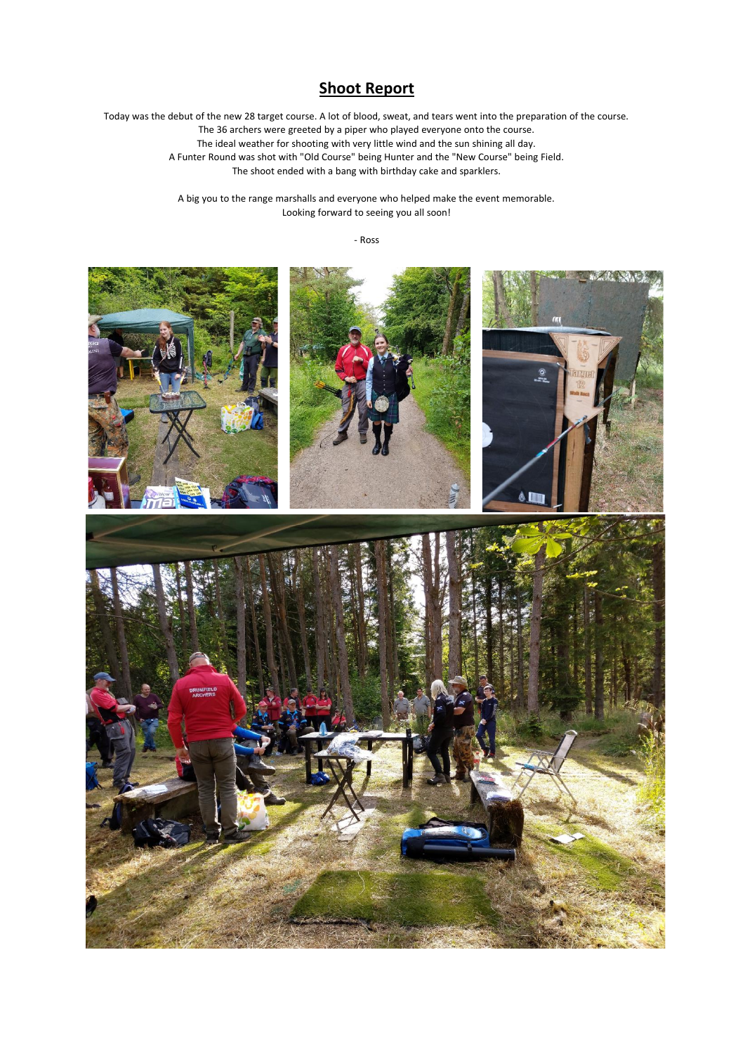## **Shoot Report**

Today was the debut of the new 28 target course. A lot of blood, sweat, and tears went into the preparation of the course. The 36 archers were greeted by a piper who played everyone onto the course. The ideal weather for shooting with very little wind and the sun shining all day. A Funter Round was shot with "Old Course" being Hunter and the "New Course" being Field. The shoot ended with a bang with birthday cake and sparklers.

> A big you to the range marshalls and everyone who helped make the event memorable. Looking forward to seeing you all soon!

> > - Ross